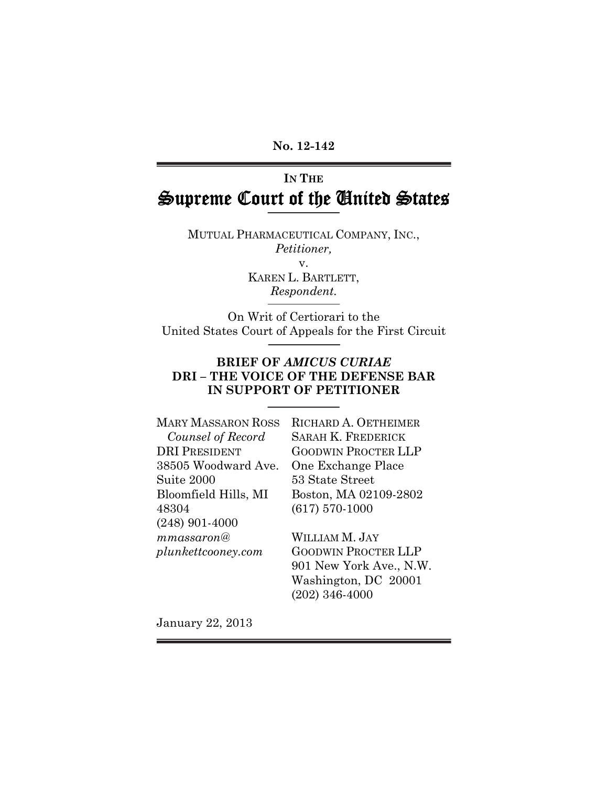**No. 12-142** 

# **IN THE** Supreme Court of the United States

MUTUAL PHARMACEUTICAL COMPANY, INC., *Petitioner,*  v.

> KAREN L. BARTLETT, *Respondent.*

On Writ of Certiorari to the United States Court of Appeals for the First Circuit

## **BRIEF OF** *AMICUS CURIAE* **DRI – THE VOICE OF THE DEFENSE BAR IN SUPPORT OF PETITIONER**

| <b>MARY MASSARON ROSS</b> | RICHARD A. OETHEIMER       |
|---------------------------|----------------------------|
| Counsel of Record         | <b>SARAH K. FREDERICK</b>  |
| <b>DRI PRESIDENT</b>      | <b>GOODWIN PROCTER LLP</b> |
| 38505 Woodward Ave.       | One Exchange Place         |
| Suite 2000                | 53 State Street            |
| Bloomfield Hills, MI      | Boston, MA 02109-2802      |
| 48304                     | $(617) 570-1000$           |
| $(248)$ 901-4000          |                            |
| mmassaron@                | WILLIAM M. JAY             |
| plunkettcooney.com        | <b>GOODWIN PROCTER LLP</b> |
|                           | 901 New York Ave., N.W.    |
|                           | Washington, DC 20001       |

(202) 346-4000

January 22, 2013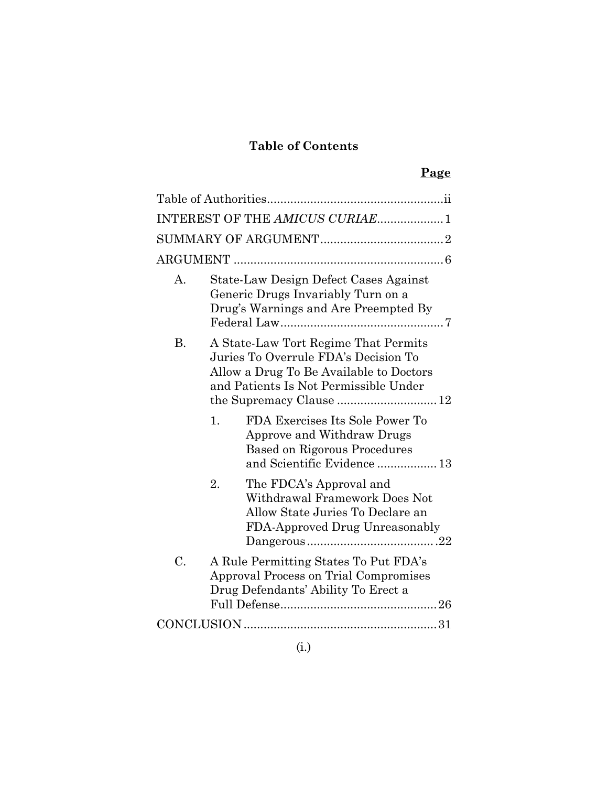# **Table of Contents**

# **Page**

|           |    | INTEREST OF THE AMICUS CURIAE1                                                                                                                                   |  |
|-----------|----|------------------------------------------------------------------------------------------------------------------------------------------------------------------|--|
|           |    |                                                                                                                                                                  |  |
|           |    |                                                                                                                                                                  |  |
| А.        |    | State-Law Design Defect Cases Against<br>Generic Drugs Invariably Turn on a<br>Drug's Warnings and Are Preempted By                                              |  |
| <b>B.</b> |    | A State-Law Tort Regime That Permits<br>Juries To Overrule FDA's Decision To<br>Allow a Drug To Be Available to Doctors<br>and Patients Is Not Permissible Under |  |
|           | 1. | FDA Exercises Its Sole Power To<br>Approve and Withdraw Drugs<br><b>Based on Rigorous Procedures</b><br>and Scientific Evidence 13                               |  |
|           | 2. | The FDCA's Approval and<br>Withdrawal Framework Does Not<br>Allow State Juries To Declare an<br>FDA-Approved Drug Unreasonably                                   |  |
| C.        |    | A Rule Permitting States To Put FDA's<br>Approval Process on Trial Compromises<br>Drug Defendants' Ability To Erect a                                            |  |
|           |    |                                                                                                                                                                  |  |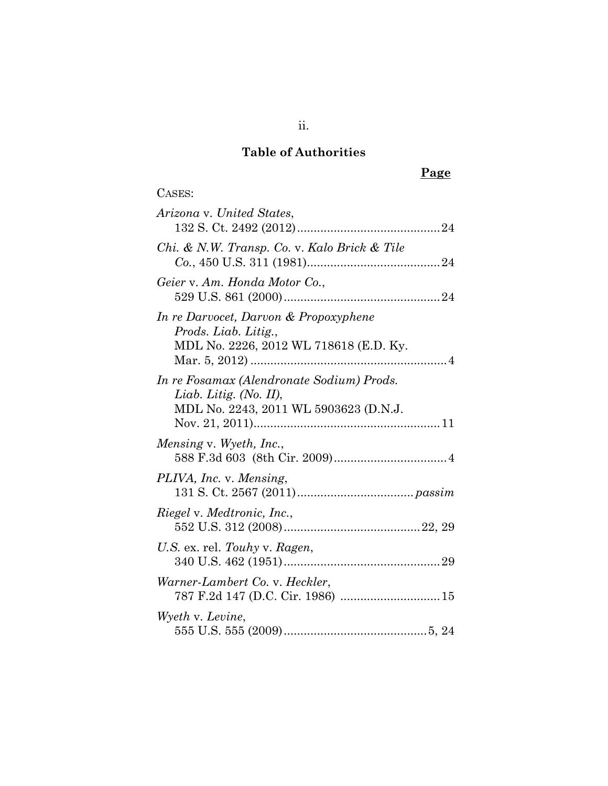# **Table of Authorities**

# **Page**

| CASES:                                                                                                       |
|--------------------------------------------------------------------------------------------------------------|
| Arizona v. United States,                                                                                    |
| Chi. & N.W. Transp. Co. v. Kalo Brick & Tile                                                                 |
| Geier v. Am. Honda Motor Co.,                                                                                |
| In re Darvocet, Darvon & Propoxyphene<br>Prods. Liab. Litig.,<br>MDL No. 2226, 2012 WL 718618 (E.D. Ky.      |
| In re Fosamax (Alendronate Sodium) Prods.<br>Liab. Litig. (No. II),<br>MDL No. 2243, 2011 WL 5903623 (D.N.J. |
| Mensing v. Wyeth, Inc.,                                                                                      |
| PLIVA, Inc. v. Mensing,                                                                                      |
| <i>Riegel v. Medtronic, Inc.,</i>                                                                            |
| U.S. ex. rel. Touhy v. Ragen,                                                                                |
| Warner-Lambert Co. v. Heckler,<br>787 F.2d 147 (D.C. Cir. 1986)  15                                          |
| Wyeth v. Levine,                                                                                             |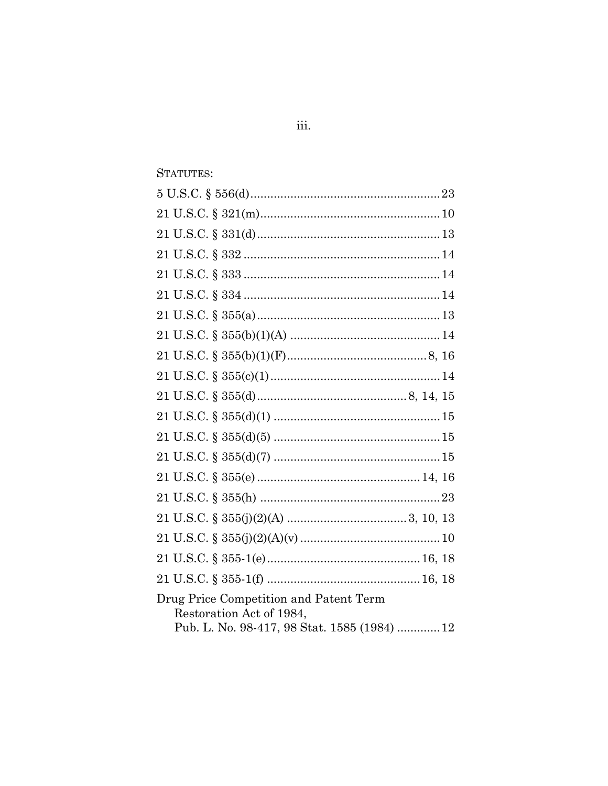$\overline{\text{iii}}$ .

## STATUTES:

| Drug Price Competition and Patent Term<br>Restoration Act of 1984, |
|--------------------------------------------------------------------|
| Pub. L. No. 98-417, 98 Stat. 1585 (1984)  12                       |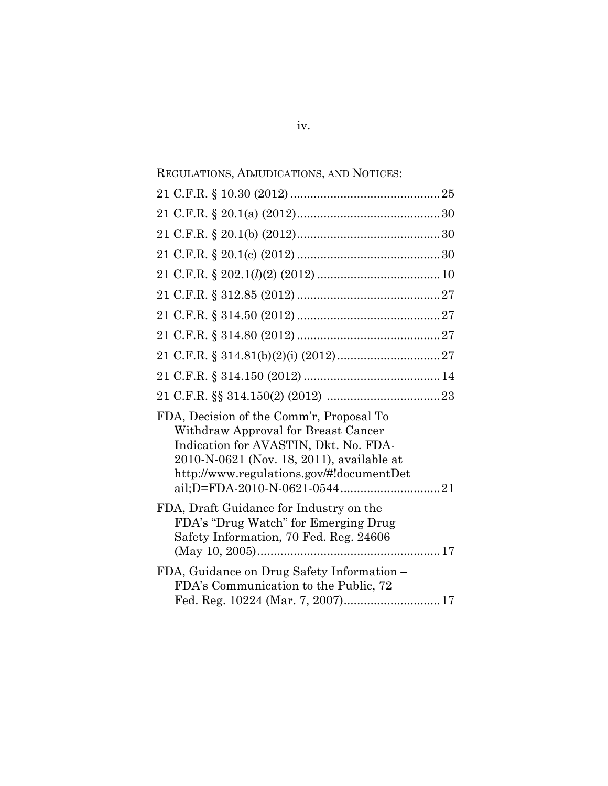REGULATIONS, ADJUDICATIONS, AND NOTICES:

| FDA, Decision of the Comm'r, Proposal To<br>Withdraw Approval for Breast Cancer<br>Indication for AVASTIN, Dkt. No. FDA-<br>2010-N-0621 (Nov. 18, 2011), available at<br>http://www.regulations.gov/#!documentDet |
|-------------------------------------------------------------------------------------------------------------------------------------------------------------------------------------------------------------------|
| FDA, Draft Guidance for Industry on the<br>FDA's "Drug Watch" for Emerging Drug<br>Safety Information, 70 Fed. Reg. 24606                                                                                         |
| FDA, Guidance on Drug Safety Information –<br>FDA's Communication to the Public, 72<br>Fed. Reg. 10224 (Mar. 7, 2007) 17                                                                                          |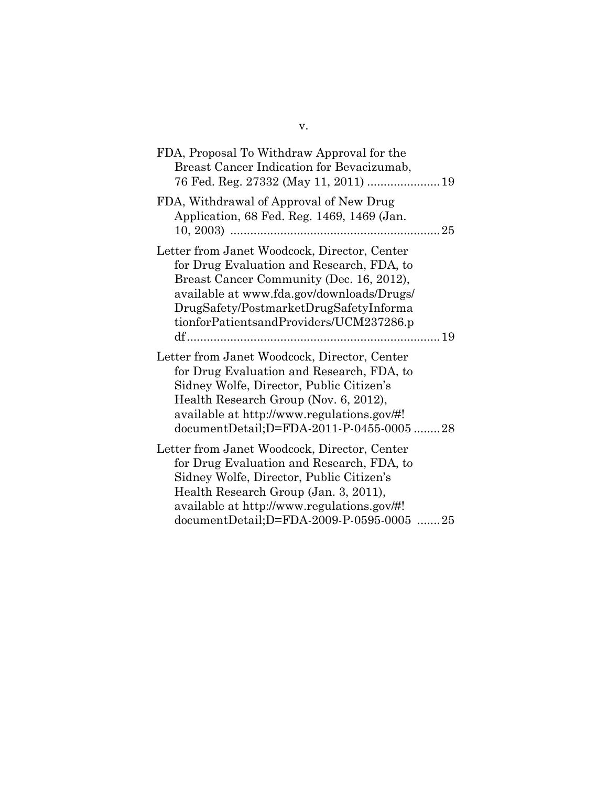# FDA, Proposal To Withdraw Approval for the Breast Cancer Indication for Bevacizumab, 76 Fed. Reg. 27332 (May 11, 2011) ...................... 19 FDA, Withdrawal of Approval of New Drug Application, 68 Fed. Reg. 1469, 1469 (Jan. 10, 2003) ............................................................... 25 Letter from Janet Woodcock, Director, Center for Drug Evaluation and Research, FDA, to Breast Cancer Community (Dec. 16, 2012), available at www.fda.gov/downloads/Drugs/ DrugSafety/PostmarketDrugSafetyInforma tionforPatientsandProviders/UCM237286.p df ............................................................................ 19 Letter from Janet Woodcock, Director, Center for Drug Evaluation and Research, FDA, to Sidney Wolfe, Director, Public Citizen's Health Research Group (Nov. 6, 2012), available at http://www.regulations.gov/#! documentDetail;D=FDA-2011-P-0455-0005 ........ 28 Letter from Janet Woodcock, Director, Center for Drug Evaluation and Research, FDA, to Sidney Wolfe, Director, Public Citizen's Health Research Group (Jan. 3, 2011), available at http://www.regulations.gov/#! documentDetail;D=FDA-2009-P-0595-0005 ....... 25

v.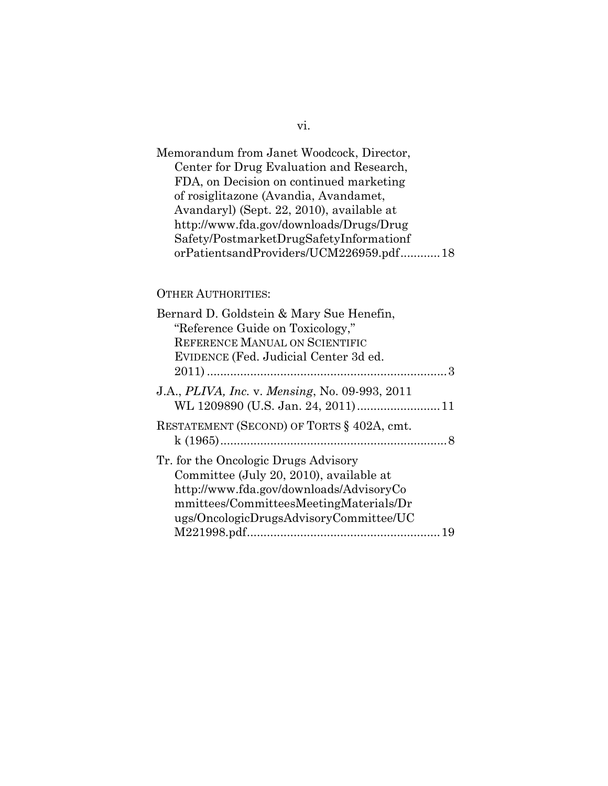| Memorandum from Janet Woodcock, Director, |  |
|-------------------------------------------|--|
| Center for Drug Evaluation and Research,  |  |
| FDA, on Decision on continued marketing   |  |
| of rosiglitazone (Avandia, Avandamet,     |  |
| Avandaryl) (Sept. 22, 2010), available at |  |
| http://www.fda.gov/downloads/Drugs/Drug   |  |
| Safety/PostmarketDrugSafetyInformationf   |  |
| orPatientsandProviders/UCM226959.pdf 18   |  |

# OTHER AUTHORITIES:

| Bernard D. Goldstein & Mary Sue Henefin,                              |  |
|-----------------------------------------------------------------------|--|
| "Reference Guide on Toxicology,"                                      |  |
| REFERENCE MANUAL ON SCIENTIFIC                                        |  |
| EVIDENCE (Fed. Judicial Center 3d ed.                                 |  |
|                                                                       |  |
| J.A., <i>PLIVA</i> , <i>Inc.</i> v. <i>Mensing</i> , No. 09-993, 2011 |  |
|                                                                       |  |
| RESTATEMENT (SECOND) OF TORTS § 402A, cmt.                            |  |
|                                                                       |  |
| Tr. for the Oncologic Drugs Advisory                                  |  |
| Committee (July 20, 2010), available at                               |  |
| http://www.fda.gov/downloads/AdvisoryCo                               |  |
| mmittees/CommitteesMeetingMaterials/Dr                                |  |
| ugs/OncologicDrugsAdvisoryCommittee/UC                                |  |
|                                                                       |  |

vi.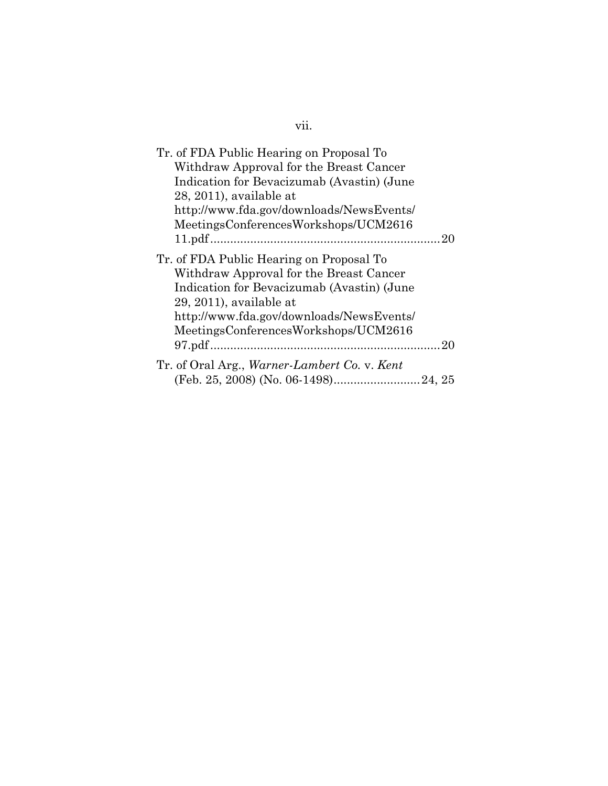| Tr. of FDA Public Hearing on Proposal To     |  |
|----------------------------------------------|--|
| Withdraw Approval for the Breast Cancer      |  |
| Indication for Bevacizumab (Avastin) (June   |  |
| 28, 2011), available at                      |  |
| http://www.fda.gov/downloads/NewsEvents/     |  |
| MeetingsConferencesWorkshops/UCM2616         |  |
|                                              |  |
| Tr. of FDA Public Hearing on Proposal To     |  |
| Withdraw Approval for the Breast Cancer      |  |
| Indication for Bevacizumab (Avastin) (June   |  |
| $29, 2011$ , available at                    |  |
| http://www.fda.gov/downloads/NewsEvents/     |  |
| MeetingsConferencesWorkshops/UCM2616         |  |
|                                              |  |
| Tr. of Oral Arg., Warner-Lambert Co. v. Kent |  |
|                                              |  |

# vii.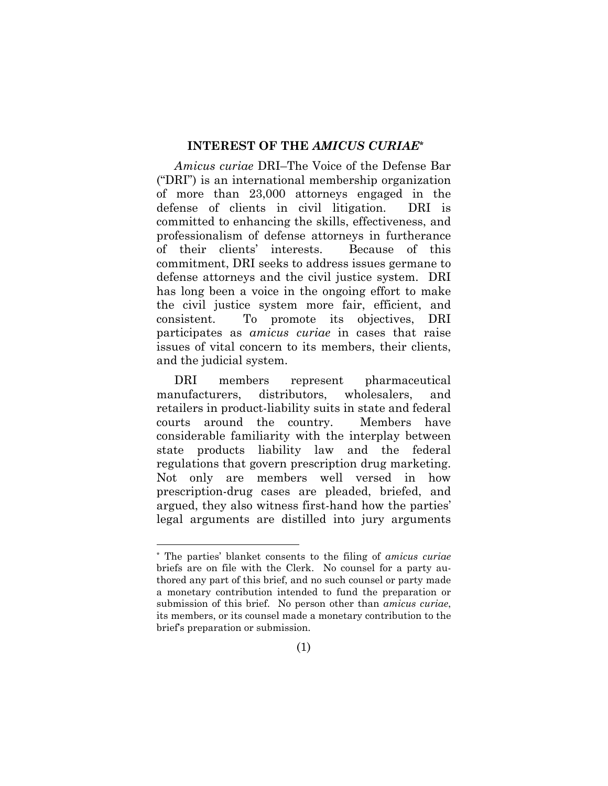#### **INTEREST OF THE** *AMICUS CURIAE***\***

*Amicus curiae* DRI–The Voice of the Defense Bar ("DRI") is an international membership organization of more than 23,000 attorneys engaged in the defense of clients in civil litigation. DRI is committed to enhancing the skills, effectiveness, and professionalism of defense attorneys in furtherance of their clients' interests. Because of this commitment, DRI seeks to address issues germane to defense attorneys and the civil justice system. DRI has long been a voice in the ongoing effort to make the civil justice system more fair, efficient, and consistent. To promote its objectives, DRI participates as *amicus curiae* in cases that raise issues of vital concern to its members, their clients, and the judicial system.

DRI members represent pharmaceutical manufacturers, distributors, wholesalers, and retailers in product-liability suits in state and federal courts around the country. Members have considerable familiarity with the interplay between state products liability law and the federal regulations that govern prescription drug marketing. Not only are members well versed in how prescription-drug cases are pleaded, briefed, and argued, they also witness first-hand how the parties' legal arguments are distilled into jury arguments

 $\overline{a}$ 

<sup>\*</sup> The parties' blanket consents to the filing of *amicus curiae*  briefs are on file with the Clerk. No counsel for a party authored any part of this brief, and no such counsel or party made a monetary contribution intended to fund the preparation or submission of this brief. No person other than *amicus curiae*, its members, or its counsel made a monetary contribution to the brief's preparation or submission.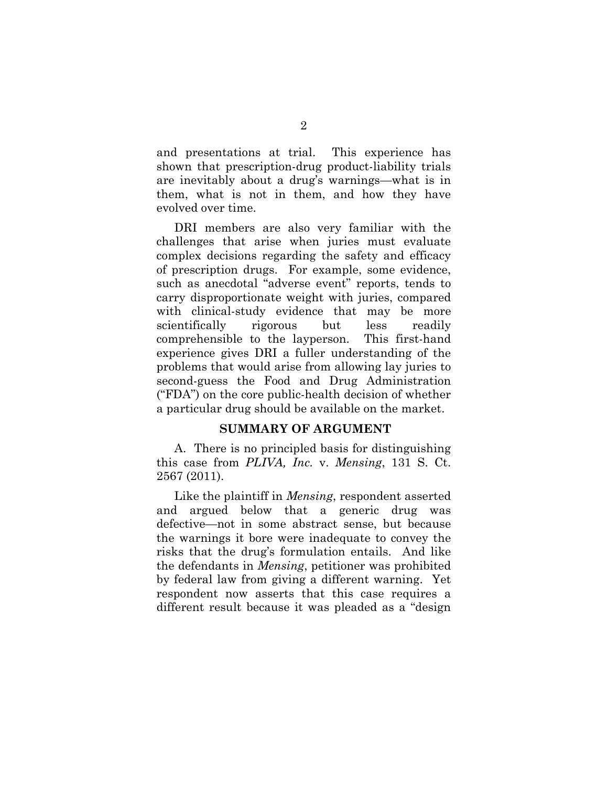and presentations at trial. This experience has shown that prescription-drug product-liability trials are inevitably about a drug's warnings—what is in them, what is not in them, and how they have evolved over time.

DRI members are also very familiar with the challenges that arise when juries must evaluate complex decisions regarding the safety and efficacy of prescription drugs. For example, some evidence, such as anecdotal "adverse event" reports, tends to carry disproportionate weight with juries, compared with clinical-study evidence that may be more scientifically rigorous but less readily comprehensible to the layperson. This first-hand experience gives DRI a fuller understanding of the problems that would arise from allowing lay juries to second-guess the Food and Drug Administration ("FDA") on the core public-health decision of whether a particular drug should be available on the market.

#### **SUMMARY OF ARGUMENT**

A. There is no principled basis for distinguishing this case from *PLIVA, Inc.* v. *Mensing*, 131 S. Ct. 2567 (2011).

Like the plaintiff in *Mensing*, respondent asserted and argued below that a generic drug was defective—not in some abstract sense, but because the warnings it bore were inadequate to convey the risks that the drug's formulation entails. And like the defendants in *Mensing*, petitioner was prohibited by federal law from giving a different warning. Yet respondent now asserts that this case requires a different result because it was pleaded as a "design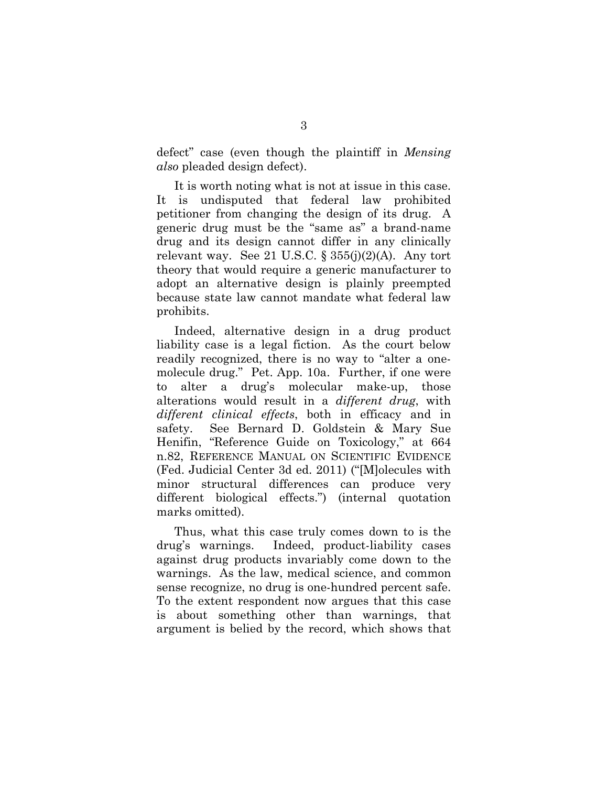defect" case (even though the plaintiff in *Mensing also* pleaded design defect).

It is worth noting what is not at issue in this case. It is undisputed that federal law prohibited petitioner from changing the design of its drug. A generic drug must be the "same as" a brand-name drug and its design cannot differ in any clinically relevant way. See 21 U.S.C.  $\S 355(j)(2)(A)$ . Any tort theory that would require a generic manufacturer to adopt an alternative design is plainly preempted because state law cannot mandate what federal law prohibits.

Indeed, alternative design in a drug product liability case is a legal fiction. As the court below readily recognized, there is no way to "alter a onemolecule drug." Pet. App. 10a. Further, if one were to alter a drug's molecular make-up, those alterations would result in a *different drug*, with *different clinical effects*, both in efficacy and in safety. See Bernard D. Goldstein & Mary Sue Henifin, "Reference Guide on Toxicology," at 664 n.82, REFERENCE MANUAL ON SCIENTIFIC EVIDENCE (Fed. Judicial Center 3d ed. 2011) ("[M]olecules with minor structural differences can produce very different biological effects.") (internal quotation marks omitted).

Thus, what this case truly comes down to is the drug's warnings. Indeed, product-liability cases against drug products invariably come down to the warnings. As the law, medical science, and common sense recognize, no drug is one-hundred percent safe. To the extent respondent now argues that this case is about something other than warnings, that argument is belied by the record, which shows that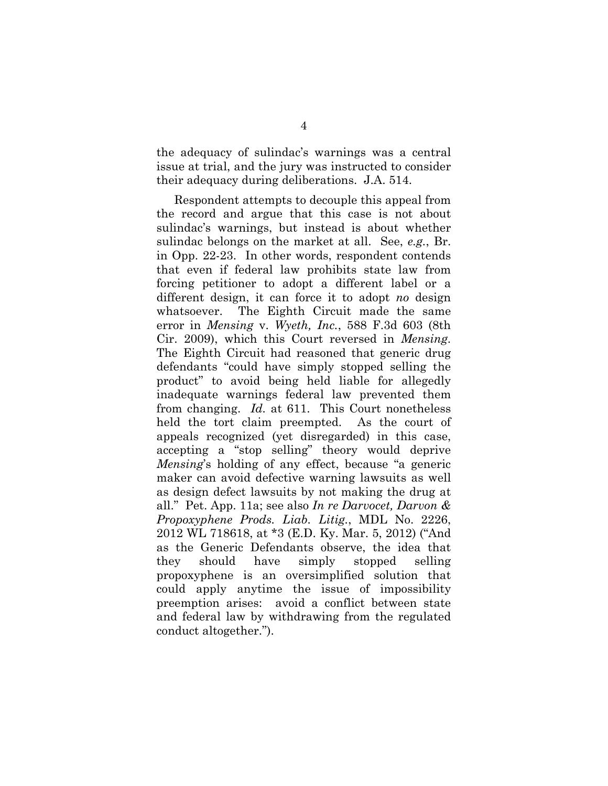the adequacy of sulindac's warnings was a central issue at trial, and the jury was instructed to consider their adequacy during deliberations. J.A. 514.

Respondent attempts to decouple this appeal from the record and argue that this case is not about sulindac's warnings, but instead is about whether sulindac belongs on the market at all. See, *e.g.*, Br. in Opp. 22-23. In other words, respondent contends that even if federal law prohibits state law from forcing petitioner to adopt a different label or a different design, it can force it to adopt *no* design whatsoever. The Eighth Circuit made the same error in *Mensing* v. *Wyeth, Inc.*, 588 F.3d 603 (8th Cir. 2009), which this Court reversed in *Mensing*. The Eighth Circuit had reasoned that generic drug defendants "could have simply stopped selling the product" to avoid being held liable for allegedly inadequate warnings federal law prevented them from changing. *Id.* at 611. This Court nonetheless held the tort claim preempted. As the court of appeals recognized (yet disregarded) in this case, accepting a "stop selling" theory would deprive *Mensing*'s holding of any effect, because "a generic maker can avoid defective warning lawsuits as well as design defect lawsuits by not making the drug at all." Pet. App. 11a; see also *In re Darvocet, Darvon & Propoxyphene Prods. Liab. Litig.*, MDL No. 2226, 2012 WL 718618, at \*3 (E.D. Ky. Mar. 5, 2012) ("And as the Generic Defendants observe, the idea that they should have simply stopped selling propoxyphene is an oversimplified solution that could apply anytime the issue of impossibility preemption arises: avoid a conflict between state and federal law by withdrawing from the regulated conduct altogether.").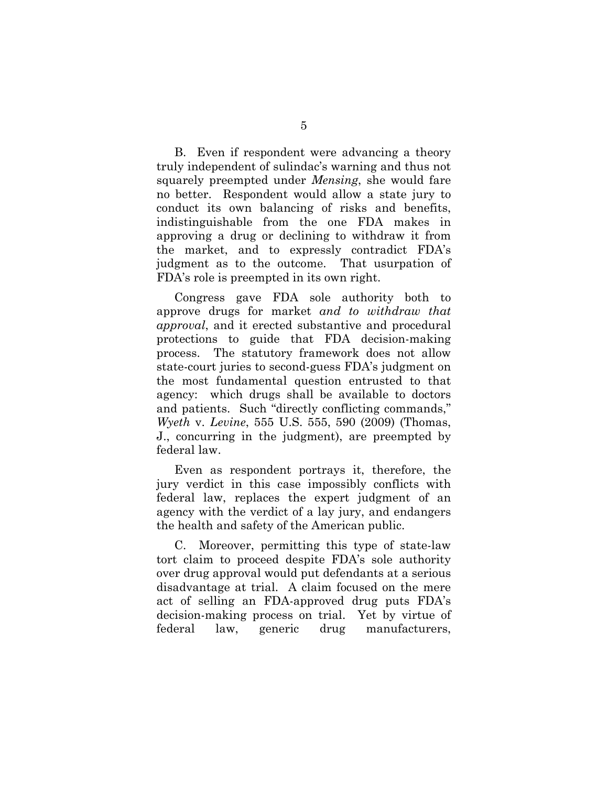B. Even if respondent were advancing a theory truly independent of sulindac's warning and thus not squarely preempted under *Mensing*, she would fare no better. Respondent would allow a state jury to conduct its own balancing of risks and benefits, indistinguishable from the one FDA makes in approving a drug or declining to withdraw it from the market, and to expressly contradict FDA's judgment as to the outcome. That usurpation of FDA's role is preempted in its own right.

Congress gave FDA sole authority both to approve drugs for market *and to withdraw that approval*, and it erected substantive and procedural protections to guide that FDA decision-making process. The statutory framework does not allow state-court juries to second-guess FDA's judgment on the most fundamental question entrusted to that agency: which drugs shall be available to doctors and patients. Such "directly conflicting commands," *Wyeth* v. *Levine*, 555 U.S. 555, 590 (2009) (Thomas, J., concurring in the judgment), are preempted by federal law.

Even as respondent portrays it, therefore, the jury verdict in this case impossibly conflicts with federal law, replaces the expert judgment of an agency with the verdict of a lay jury, and endangers the health and safety of the American public.

C. Moreover, permitting this type of state-law tort claim to proceed despite FDA's sole authority over drug approval would put defendants at a serious disadvantage at trial. A claim focused on the mere act of selling an FDA-approved drug puts FDA's decision-making process on trial. Yet by virtue of federal law, generic drug manufacturers,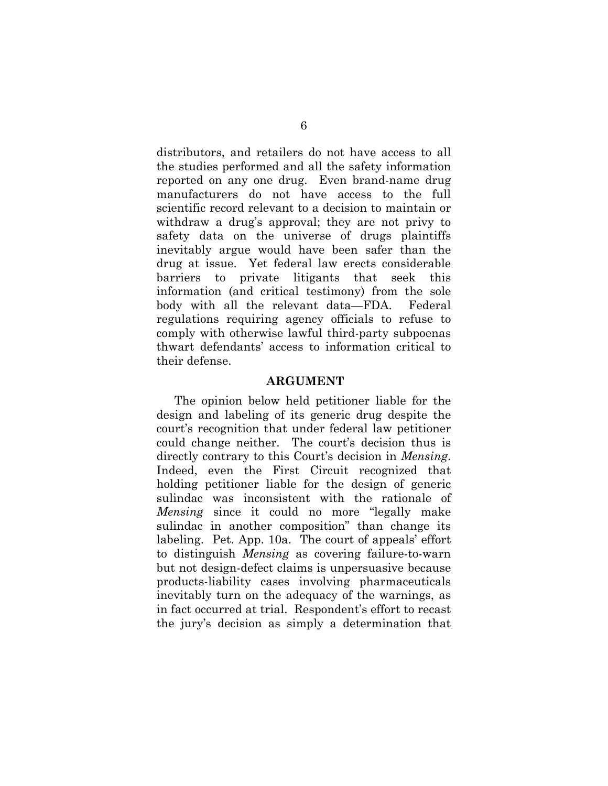distributors, and retailers do not have access to all the studies performed and all the safety information reported on any one drug. Even brand-name drug manufacturers do not have access to the full scientific record relevant to a decision to maintain or withdraw a drug's approval; they are not privy to safety data on the universe of drugs plaintiffs inevitably argue would have been safer than the drug at issue. Yet federal law erects considerable barriers to private litigants that seek this information (and critical testimony) from the sole body with all the relevant data—FDA. Federal regulations requiring agency officials to refuse to comply with otherwise lawful third-party subpoenas thwart defendants' access to information critical to their defense.

#### **ARGUMENT**

The opinion below held petitioner liable for the design and labeling of its generic drug despite the court's recognition that under federal law petitioner could change neither. The court's decision thus is directly contrary to this Court's decision in *Mensing*. Indeed, even the First Circuit recognized that holding petitioner liable for the design of generic sulindac was inconsistent with the rationale of *Mensing* since it could no more "legally make sulindac in another composition" than change its labeling. Pet. App. 10a. The court of appeals' effort to distinguish *Mensing* as covering failure-to-warn but not design-defect claims is unpersuasive because products-liability cases involving pharmaceuticals inevitably turn on the adequacy of the warnings, as in fact occurred at trial. Respondent's effort to recast the jury's decision as simply a determination that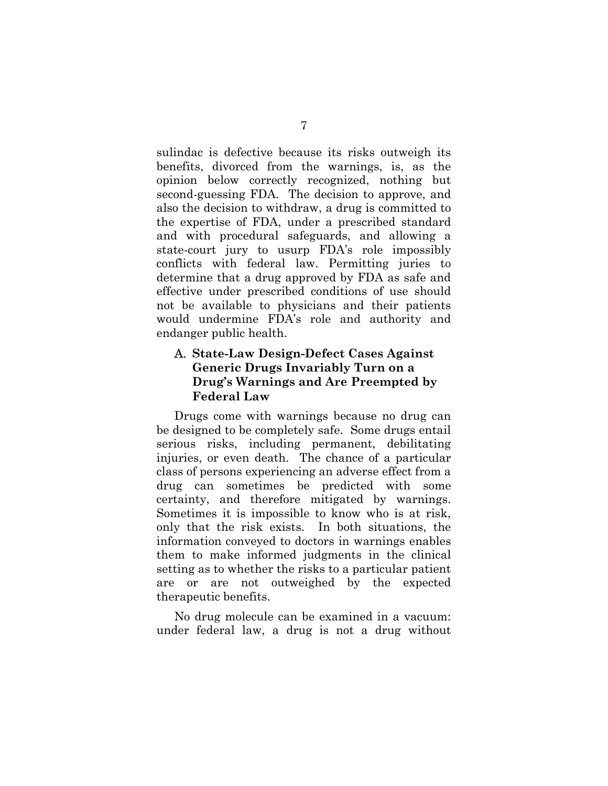sulindac is defective because its risks outweigh its benefits, divorced from the warnings, is, as the opinion below correctly recognized, nothing but second-guessing FDA. The decision to approve, and also the decision to withdraw, a drug is committed to the expertise of FDA, under a prescribed standard and with procedural safeguards, and allowing a state-court jury to usurp FDA's role impossibly conflicts with federal law. Permitting juries to determine that a drug approved by FDA as safe and effective under prescribed conditions of use should not be available to physicians and their patients would undermine FDA's role and authority and endanger public health.

### A. **State-Law Design-Defect Cases Against Generic Drugs Invariably Turn on a Drug's Warnings and Are Preempted by Federal Law**

Drugs come with warnings because no drug can be designed to be completely safe. Some drugs entail serious risks, including permanent, debilitating injuries, or even death. The chance of a particular class of persons experiencing an adverse effect from a drug can sometimes be predicted with some certainty, and therefore mitigated by warnings. Sometimes it is impossible to know who is at risk, only that the risk exists. In both situations, the information conveyed to doctors in warnings enables them to make informed judgments in the clinical setting as to whether the risks to a particular patient are or are not outweighed by the expected therapeutic benefits.

No drug molecule can be examined in a vacuum: under federal law, a drug is not a drug without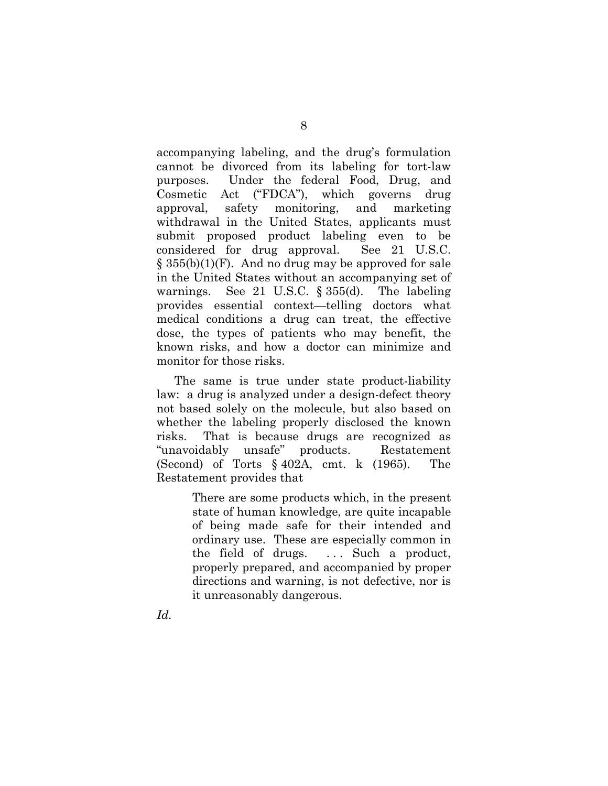accompanying labeling, and the drug's formulation cannot be divorced from its labeling for tort-law purposes. Under the federal Food, Drug, and Cosmetic Act ("FDCA"), which governs drug approval, safety monitoring, and marketing withdrawal in the United States, applicants must submit proposed product labeling even to be considered for drug approval. See 21 U.S.C. § 355(b)(1)(F). And no drug may be approved for sale in the United States without an accompanying set of warnings. See 21 U.S.C. § 355(d). The labeling provides essential context—telling doctors what medical conditions a drug can treat, the effective dose, the types of patients who may benefit, the known risks, and how a doctor can minimize and monitor for those risks.

The same is true under state product-liability law: a drug is analyzed under a design-defect theory not based solely on the molecule, but also based on whether the labeling properly disclosed the known risks. That is because drugs are recognized as "unavoidably unsafe" products. Restatement (Second) of Torts § 402A, cmt. k (1965). The Restatement provides that

> There are some products which, in the present state of human knowledge, are quite incapable of being made safe for their intended and ordinary use. These are especially common in the field of drugs.  $\ldots$  Such a product, properly prepared, and accompanied by proper directions and warning, is not defective, nor is it unreasonably dangerous.

8

*Id.*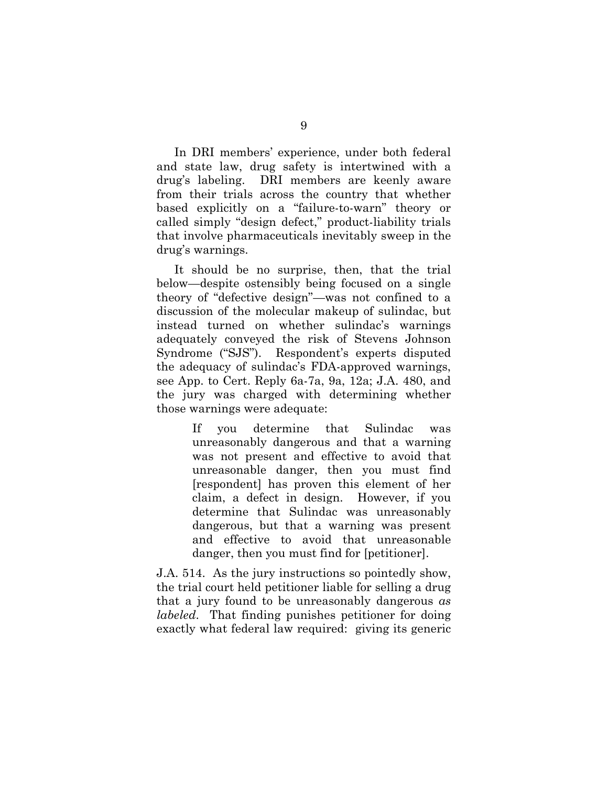In DRI members' experience, under both federal and state law, drug safety is intertwined with a drug's labeling. DRI members are keenly aware from their trials across the country that whether based explicitly on a "failure-to-warn" theory or called simply "design defect," product-liability trials that involve pharmaceuticals inevitably sweep in the drug's warnings.

It should be no surprise, then, that the trial below—despite ostensibly being focused on a single theory of "defective design"—was not confined to a discussion of the molecular makeup of sulindac, but instead turned on whether sulindac's warnings adequately conveyed the risk of Stevens Johnson Syndrome ("SJS"). Respondent's experts disputed the adequacy of sulindac's FDA-approved warnings, see App. to Cert. Reply 6a-7a, 9a, 12a; J.A. 480, and the jury was charged with determining whether those warnings were adequate:

> If you determine that Sulindac was unreasonably dangerous and that a warning was not present and effective to avoid that unreasonable danger, then you must find [respondent] has proven this element of her claim, a defect in design. However, if you determine that Sulindac was unreasonably dangerous, but that a warning was present and effective to avoid that unreasonable danger, then you must find for [petitioner].

J.A. 514. As the jury instructions so pointedly show, the trial court held petitioner liable for selling a drug that a jury found to be unreasonably dangerous *as labeled*. That finding punishes petitioner for doing exactly what federal law required: giving its generic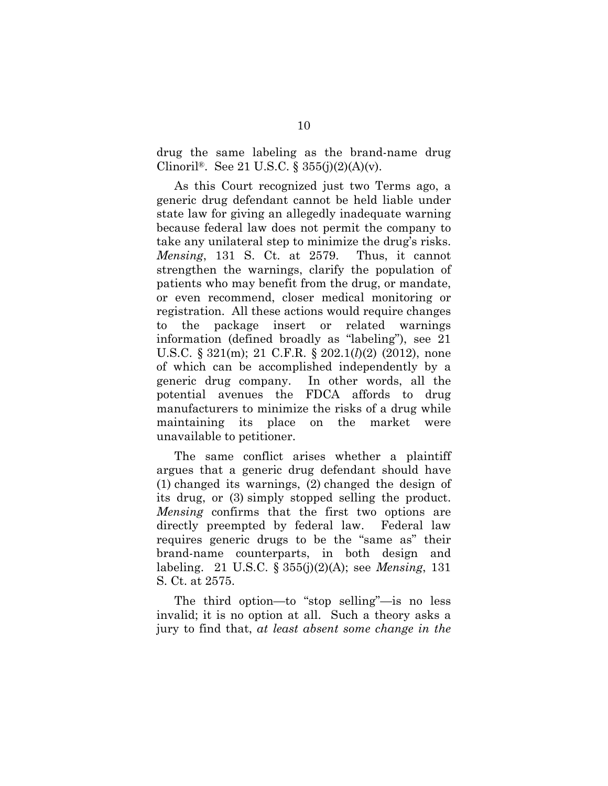drug the same labeling as the brand-name drug Clinoril®. See 21 U.S.C. §  $355(j)(2)(A)(v)$ .

As this Court recognized just two Terms ago, a generic drug defendant cannot be held liable under state law for giving an allegedly inadequate warning because federal law does not permit the company to take any unilateral step to minimize the drug's risks. *Mensing*, 131 S. Ct. at 2579. Thus, it cannot strengthen the warnings, clarify the population of patients who may benefit from the drug, or mandate, or even recommend, closer medical monitoring or registration. All these actions would require changes to the package insert or related warnings information (defined broadly as "labeling"), see 21 U.S.C. § 321(m); 21 C.F.R. § 202.1(*l*)(2) (2012), none of which can be accomplished independently by a generic drug company. In other words, all the potential avenues the FDCA affords to drug manufacturers to minimize the risks of a drug while maintaining its place on the market were unavailable to petitioner.

The same conflict arises whether a plaintiff argues that a generic drug defendant should have (1) changed its warnings, (2) changed the design of its drug, or (3) simply stopped selling the product. *Mensing* confirms that the first two options are directly preempted by federal law. Federal law requires generic drugs to be the "same as" their brand-name counterparts, in both design and labeling. 21 U.S.C. § 355(j)(2)(A); see *Mensing*, 131 S. Ct. at 2575.

The third option—to "stop selling"—is no less invalid; it is no option at all. Such a theory asks a jury to find that, *at least absent some change in the*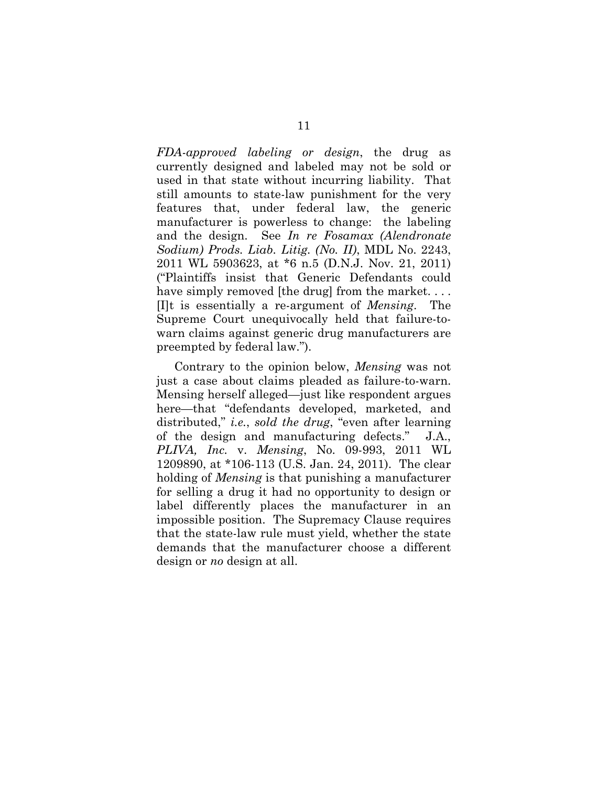*FDA-approved labeling or design*, the drug as currently designed and labeled may not be sold or used in that state without incurring liability. That still amounts to state-law punishment for the very features that, under federal law, the generic manufacturer is powerless to change: the labeling and the design. See *In re Fosamax (Alendronate Sodium) Prods. Liab. Litig. (No. II)*, MDL No. 2243, 2011 WL 5903623, at \*6 n.5 (D.N.J. Nov. 21, 2011) ("Plaintiffs insist that Generic Defendants could have simply removed [the drug] from the market.... [I]t is essentially a re-argument of *Mensing*. The Supreme Court unequivocally held that failure-towarn claims against generic drug manufacturers are preempted by federal law.").

Contrary to the opinion below, *Mensing* was not just a case about claims pleaded as failure-to-warn. Mensing herself alleged—just like respondent argues here—that "defendants developed, marketed, and distributed," *i.e.*, *sold the drug*, "even after learning of the design and manufacturing defects." J.A., *PLIVA, Inc.* v. *Mensing*, No. 09-993, 2011 WL 1209890, at \*106-113 (U.S. Jan. 24, 2011). The clear holding of *Mensing* is that punishing a manufacturer for selling a drug it had no opportunity to design or label differently places the manufacturer in an impossible position. The Supremacy Clause requires that the state-law rule must yield, whether the state demands that the manufacturer choose a different design or *no* design at all.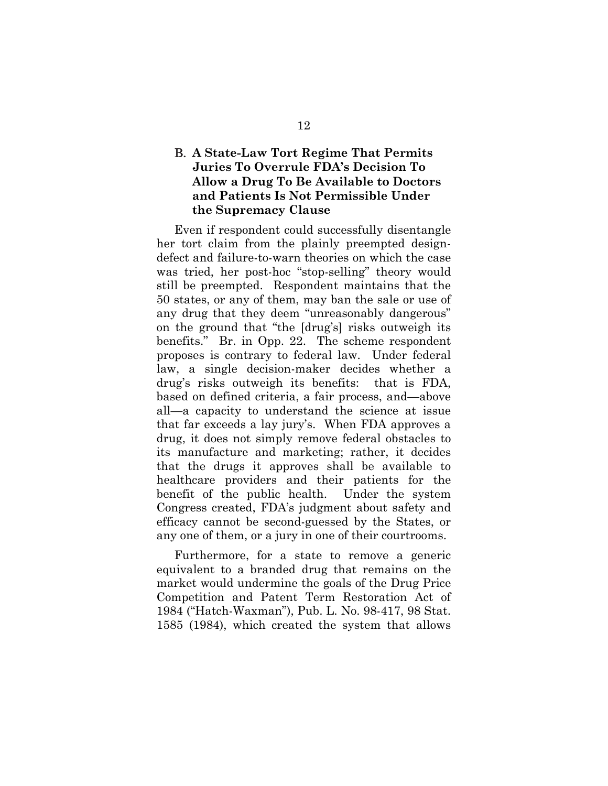## B. **A State-Law Tort Regime That Permits Juries To Overrule FDA's Decision To Allow a Drug To Be Available to Doctors and Patients Is Not Permissible Under the Supremacy Clause**

Even if respondent could successfully disentangle her tort claim from the plainly preempted designdefect and failure-to-warn theories on which the case was tried, her post-hoc "stop-selling" theory would still be preempted. Respondent maintains that the 50 states, or any of them, may ban the sale or use of any drug that they deem "unreasonably dangerous" on the ground that "the [drug's] risks outweigh its benefits." Br. in Opp. 22. The scheme respondent proposes is contrary to federal law. Under federal law, a single decision-maker decides whether a drug's risks outweigh its benefits: that is FDA, based on defined criteria, a fair process, and—above all—a capacity to understand the science at issue that far exceeds a lay jury's. When FDA approves a drug, it does not simply remove federal obstacles to its manufacture and marketing; rather, it decides that the drugs it approves shall be available to healthcare providers and their patients for the benefit of the public health. Under the system Congress created, FDA's judgment about safety and efficacy cannot be second-guessed by the States, or any one of them, or a jury in one of their courtrooms.

Furthermore, for a state to remove a generic equivalent to a branded drug that remains on the market would undermine the goals of the Drug Price Competition and Patent Term Restoration Act of 1984 ("Hatch-Waxman"), Pub. L. No. 98-417, 98 Stat. 1585 (1984), which created the system that allows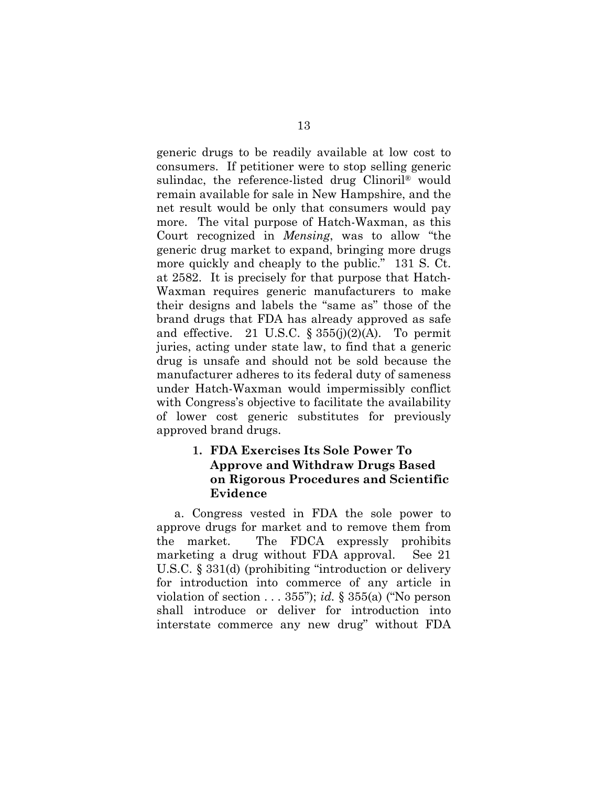generic drugs to be readily available at low cost to consumers. If petitioner were to stop selling generic sulindac, the reference-listed drug Clinoril® would remain available for sale in New Hampshire, and the net result would be only that consumers would pay more. The vital purpose of Hatch-Waxman, as this Court recognized in *Mensing*, was to allow "the generic drug market to expand, bringing more drugs more quickly and cheaply to the public." 131 S. Ct. at 2582. It is precisely for that purpose that Hatch-Waxman requires generic manufacturers to make their designs and labels the "same as" those of the brand drugs that FDA has already approved as safe and effective. 21 U.S.C.  $\S 355(j)(2)(A)$ . To permit juries, acting under state law, to find that a generic drug is unsafe and should not be sold because the manufacturer adheres to its federal duty of sameness under Hatch-Waxman would impermissibly conflict with Congress's objective to facilitate the availability of lower cost generic substitutes for previously approved brand drugs.

## **1. FDA Exercises Its Sole Power To Approve and Withdraw Drugs Based on Rigorous Procedures and Scientific Evidence**

a. Congress vested in FDA the sole power to approve drugs for market and to remove them from the market. The FDCA expressly prohibits marketing a drug without FDA approval. See 21 U.S.C. § 331(d) (prohibiting "introduction or delivery for introduction into commerce of any article in violation of section . . . 355"); *id.* § 355(a) ("No person shall introduce or deliver for introduction into interstate commerce any new drug" without FDA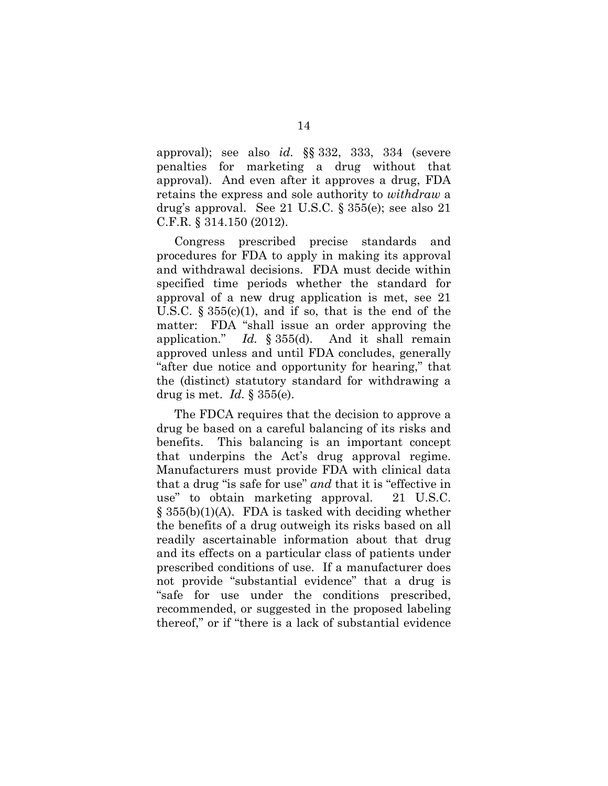approval); see also *id.* §§ 332, 333, 334 (severe penalties for marketing a drug without that approval). And even after it approves a drug, FDA retains the express and sole authority to *withdraw* a drug's approval. See 21 U.S.C. § 355(e); see also 21 C.F.R. § 314.150 (2012).

Congress prescribed precise standards and procedures for FDA to apply in making its approval and withdrawal decisions. FDA must decide within specified time periods whether the standard for approval of a new drug application is met, see 21 U.S.C.  $\S 355(c)(1)$ , and if so, that is the end of the matter: FDA "shall issue an order approving the application." *Id.* § 355(d). And it shall remain approved unless and until FDA concludes, generally "after due notice and opportunity for hearing," that the (distinct) statutory standard for withdrawing a drug is met. *Id.* § 355(e).

The FDCA requires that the decision to approve a drug be based on a careful balancing of its risks and benefits. This balancing is an important concept that underpins the Act's drug approval regime. Manufacturers must provide FDA with clinical data that a drug "is safe for use" *and* that it is "effective in use" to obtain marketing approval. 21 U.S.C.  $\S$  355(b)(1)(A). FDA is tasked with deciding whether the benefits of a drug outweigh its risks based on all readily ascertainable information about that drug and its effects on a particular class of patients under prescribed conditions of use. If a manufacturer does not provide "substantial evidence" that a drug is "safe for use under the conditions prescribed, recommended, or suggested in the proposed labeling thereof," or if "there is a lack of substantial evidence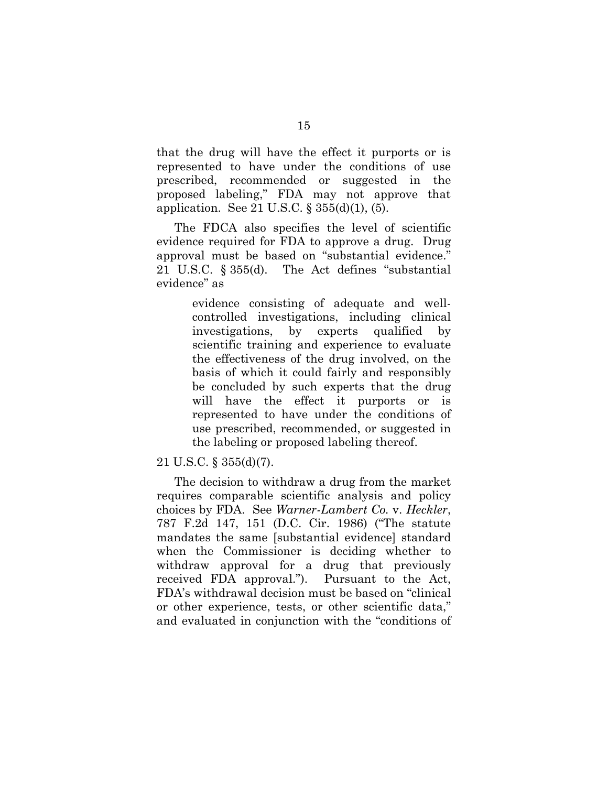that the drug will have the effect it purports or is represented to have under the conditions of use prescribed, recommended or suggested in the proposed labeling," FDA may not approve that application. See 21 U.S.C. § 355(d)(1), (5).

The FDCA also specifies the level of scientific evidence required for FDA to approve a drug. Drug approval must be based on "substantial evidence." 21 U.S.C. § 355(d). The Act defines "substantial evidence" as

> evidence consisting of adequate and wellcontrolled investigations, including clinical investigations, by experts qualified by scientific training and experience to evaluate the effectiveness of the drug involved, on the basis of which it could fairly and responsibly be concluded by such experts that the drug will have the effect it purports or is represented to have under the conditions of use prescribed, recommended, or suggested in the labeling or proposed labeling thereof.

#### 21 U.S.C. § 355(d)(7).

The decision to withdraw a drug from the market requires comparable scientific analysis and policy choices by FDA. See *Warner-Lambert Co.* v. *Heckler*, 787 F.2d 147, 151 (D.C. Cir. 1986) ("The statute mandates the same [substantial evidence] standard when the Commissioner is deciding whether to withdraw approval for a drug that previously received FDA approval."). Pursuant to the Act, FDA's withdrawal decision must be based on "clinical or other experience, tests, or other scientific data," and evaluated in conjunction with the "conditions of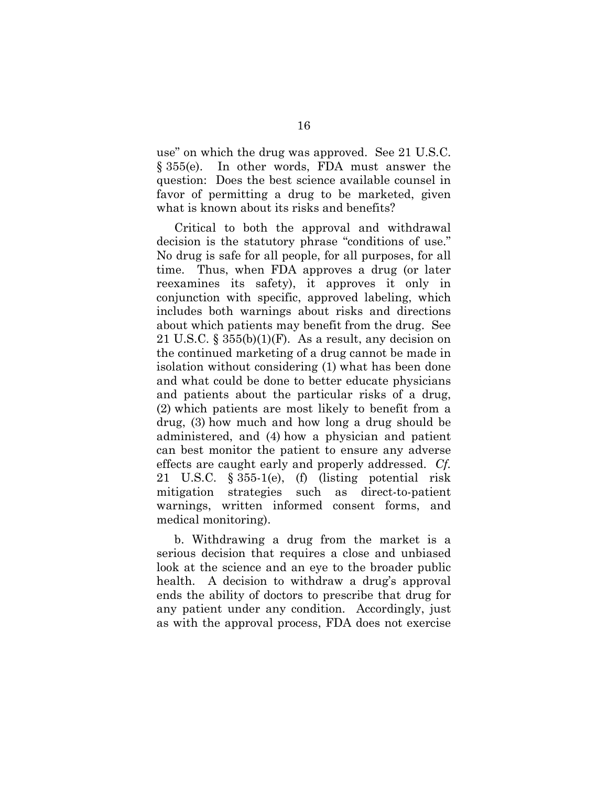use" on which the drug was approved. See 21 U.S.C. § 355(e). In other words, FDA must answer the question: Does the best science available counsel in favor of permitting a drug to be marketed, given what is known about its risks and benefits?

Critical to both the approval and withdrawal decision is the statutory phrase "conditions of use." No drug is safe for all people, for all purposes, for all time. Thus, when FDA approves a drug (or later reexamines its safety), it approves it only in conjunction with specific, approved labeling, which includes both warnings about risks and directions about which patients may benefit from the drug. See 21 U.S.C.  $\S 355(b)(1)(F)$ . As a result, any decision on the continued marketing of a drug cannot be made in isolation without considering (1) what has been done and what could be done to better educate physicians and patients about the particular risks of a drug, (2) which patients are most likely to benefit from a drug, (3) how much and how long a drug should be administered, and (4) how a physician and patient can best monitor the patient to ensure any adverse effects are caught early and properly addressed. *Cf.*  21 U.S.C. § 355-1(e), (f) (listing potential risk mitigation strategies such as direct-to-patient warnings, written informed consent forms, and medical monitoring).

b. Withdrawing a drug from the market is a serious decision that requires a close and unbiased look at the science and an eye to the broader public health. A decision to withdraw a drug's approval ends the ability of doctors to prescribe that drug for any patient under any condition. Accordingly, just as with the approval process, FDA does not exercise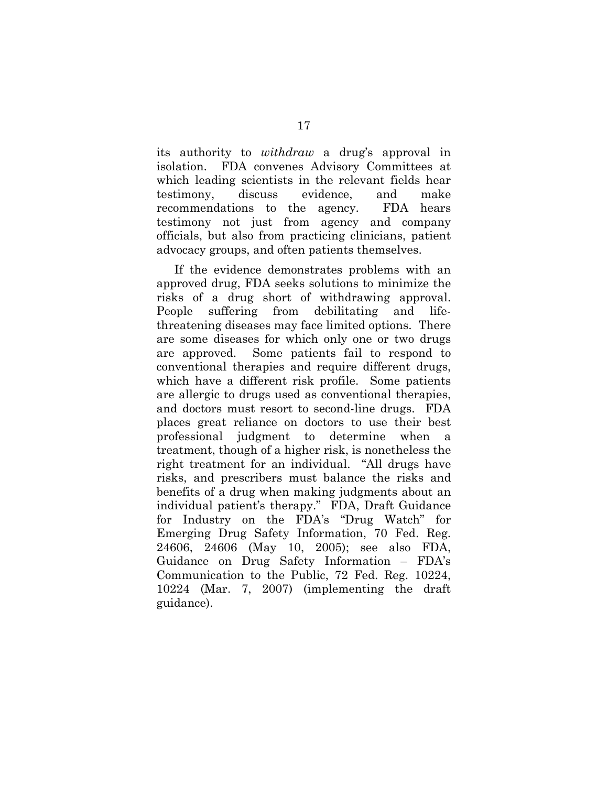its authority to *withdraw* a drug's approval in isolation. FDA convenes Advisory Committees at which leading scientists in the relevant fields hear testimony, discuss evidence, and make recommendations to the agency. FDA hears testimony not just from agency and company officials, but also from practicing clinicians, patient advocacy groups, and often patients themselves.

If the evidence demonstrates problems with an approved drug, FDA seeks solutions to minimize the risks of a drug short of withdrawing approval. People suffering from debilitating and lifethreatening diseases may face limited options. There are some diseases for which only one or two drugs are approved. Some patients fail to respond to conventional therapies and require different drugs, which have a different risk profile. Some patients are allergic to drugs used as conventional therapies, and doctors must resort to second-line drugs. FDA places great reliance on doctors to use their best professional judgment to determine when a treatment, though of a higher risk, is nonetheless the right treatment for an individual. "All drugs have risks, and prescribers must balance the risks and benefits of a drug when making judgments about an individual patient's therapy." FDA, Draft Guidance for Industry on the FDA's "Drug Watch" for Emerging Drug Safety Information, 70 Fed. Reg. 24606, 24606 (May 10, 2005); see also FDA, Guidance on Drug Safety Information – FDA's Communication to the Public, 72 Fed. Reg. 10224, 10224 (Mar. 7, 2007) (implementing the draft guidance).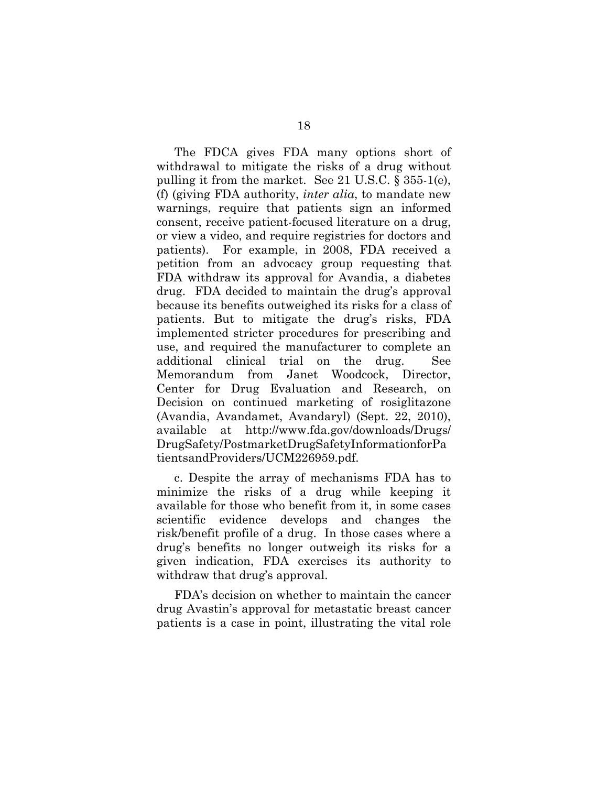The FDCA gives FDA many options short of withdrawal to mitigate the risks of a drug without pulling it from the market. See 21 U.S.C. § 355-1(e), (f) (giving FDA authority, *inter alia*, to mandate new warnings, require that patients sign an informed consent, receive patient-focused literature on a drug, or view a video, and require registries for doctors and patients). For example, in 2008, FDA received a petition from an advocacy group requesting that FDA withdraw its approval for Avandia, a diabetes drug. FDA decided to maintain the drug's approval because its benefits outweighed its risks for a class of patients. But to mitigate the drug's risks, FDA implemented stricter procedures for prescribing and use, and required the manufacturer to complete an additional clinical trial on the drug. See Memorandum from Janet Woodcock, Director, Center for Drug Evaluation and Research, on Decision on continued marketing of rosiglitazone (Avandia, Avandamet, Avandaryl) (Sept. 22, 2010), available at http://www.fda.gov/downloads/Drugs/ DrugSafety/PostmarketDrugSafetyInformationforPa tientsandProviders/UCM226959.pdf.

c. Despite the array of mechanisms FDA has to minimize the risks of a drug while keeping it available for those who benefit from it, in some cases scientific evidence develops and changes the risk/benefit profile of a drug. In those cases where a drug's benefits no longer outweigh its risks for a given indication, FDA exercises its authority to withdraw that drug's approval.

FDA's decision on whether to maintain the cancer drug Avastin's approval for metastatic breast cancer patients is a case in point, illustrating the vital role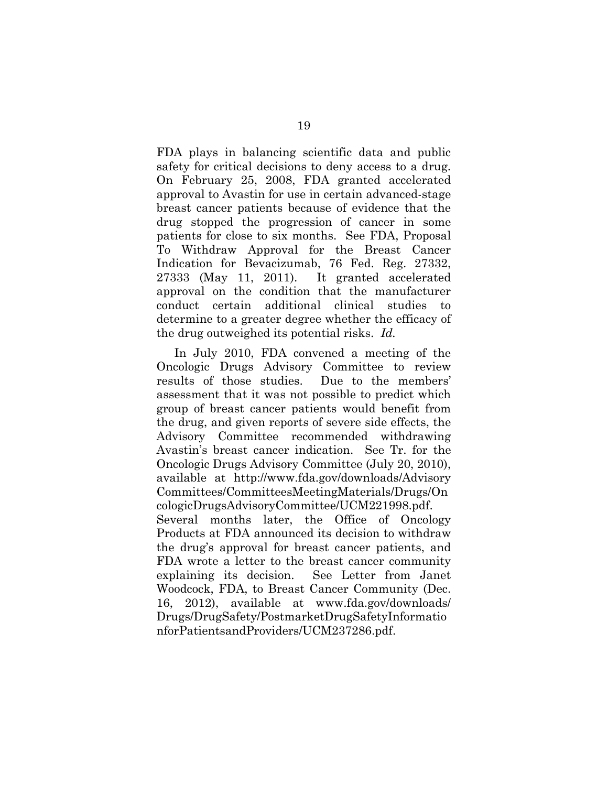FDA plays in balancing scientific data and public safety for critical decisions to deny access to a drug. On February 25, 2008, FDA granted accelerated approval to Avastin for use in certain advanced-stage breast cancer patients because of evidence that the drug stopped the progression of cancer in some patients for close to six months. See FDA, Proposal To Withdraw Approval for the Breast Cancer Indication for Bevacizumab, 76 Fed. Reg. 27332, 27333 (May 11, 2011). It granted accelerated approval on the condition that the manufacturer conduct certain additional clinical studies to determine to a greater degree whether the efficacy of the drug outweighed its potential risks. *Id.*

In July 2010, FDA convened a meeting of the Oncologic Drugs Advisory Committee to review results of those studies. Due to the members' assessment that it was not possible to predict which group of breast cancer patients would benefit from the drug, and given reports of severe side effects, the Advisory Committee recommended withdrawing Avastin's breast cancer indication. See Tr. for the Oncologic Drugs Advisory Committee (July 20, 2010), available at http://www.fda.gov/downloads/Advisory Committees/CommitteesMeetingMaterials/Drugs/On cologicDrugsAdvisoryCommittee/UCM221998.pdf. Several months later, the Office of Oncology Products at FDA announced its decision to withdraw the drug's approval for breast cancer patients, and FDA wrote a letter to the breast cancer community explaining its decision. See Letter from Janet Woodcock, FDA, to Breast Cancer Community (Dec. 16, 2012), available at www.fda.gov/downloads/ Drugs/DrugSafety/PostmarketDrugSafetyInformatio nforPatientsandProviders/UCM237286.pdf.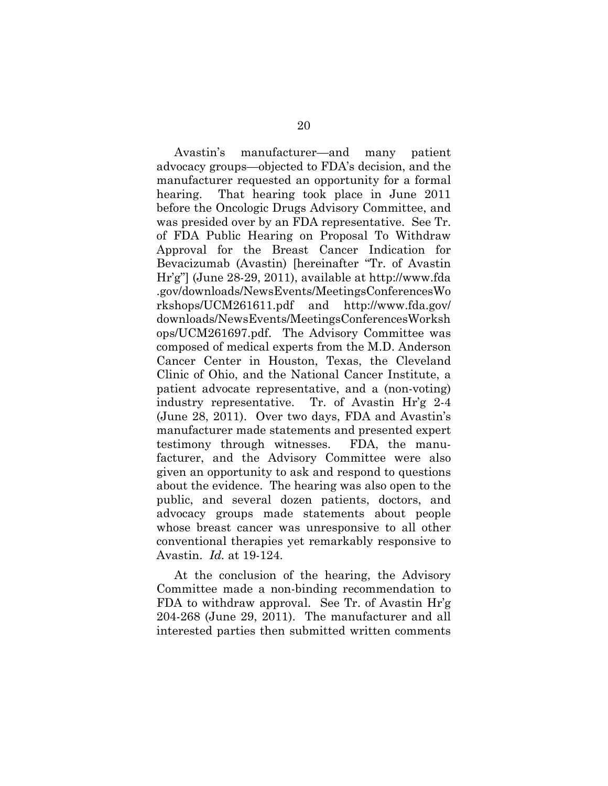Avastin's manufacturer—and many patient advocacy groups—objected to FDA's decision, and the manufacturer requested an opportunity for a formal hearing. That hearing took place in June 2011 before the Oncologic Drugs Advisory Committee, and was presided over by an FDA representative. See Tr. of FDA Public Hearing on Proposal To Withdraw Approval for the Breast Cancer Indication for Bevacizumab (Avastin) [hereinafter "Tr. of Avastin Hr'g"] (June 28-29, 2011), available at http://www.fda .gov/downloads/NewsEvents/MeetingsConferencesWo rkshops/UCM261611.pdf and http://www.fda.gov/ downloads/NewsEvents/MeetingsConferencesWorksh ops/UCM261697.pdf. The Advisory Committee was composed of medical experts from the M.D. Anderson Cancer Center in Houston, Texas, the Cleveland Clinic of Ohio, and the National Cancer Institute, a patient advocate representative, and a (non-voting) industry representative. Tr. of Avastin Hr'g 2-4 (June 28, 2011). Over two days, FDA and Avastin's manufacturer made statements and presented expert testimony through witnesses. FDA, the manufacturer, and the Advisory Committee were also given an opportunity to ask and respond to questions about the evidence. The hearing was also open to the public, and several dozen patients, doctors, and advocacy groups made statements about people whose breast cancer was unresponsive to all other conventional therapies yet remarkably responsive to Avastin. *Id.* at 19-124.

At the conclusion of the hearing, the Advisory Committee made a non-binding recommendation to FDA to withdraw approval. See Tr. of Avastin Hr'g 204-268 (June 29, 2011). The manufacturer and all interested parties then submitted written comments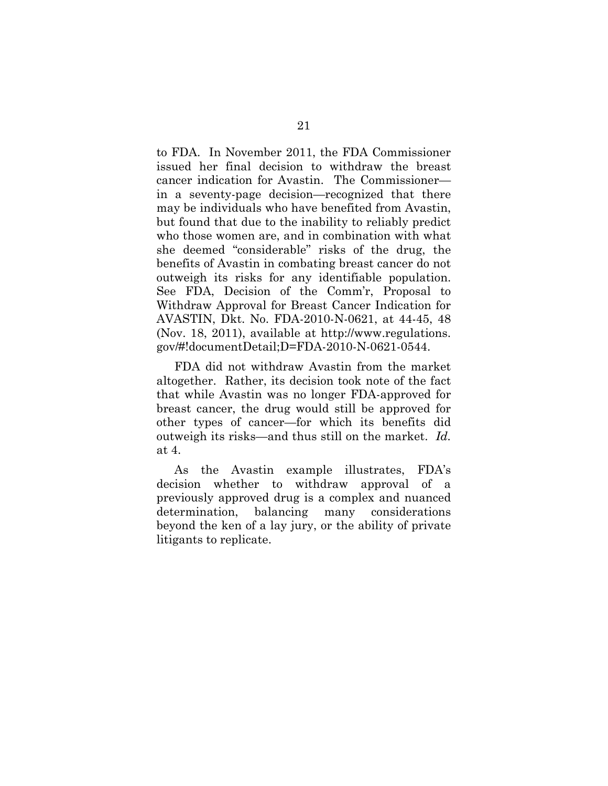to FDA. In November 2011, the FDA Commissioner issued her final decision to withdraw the breast cancer indication for Avastin. The Commissioner in a seventy-page decision—recognized that there may be individuals who have benefited from Avastin, but found that due to the inability to reliably predict who those women are, and in combination with what she deemed "considerable" risks of the drug, the benefits of Avastin in combating breast cancer do not outweigh its risks for any identifiable population. See FDA, Decision of the Comm'r, Proposal to Withdraw Approval for Breast Cancer Indication for AVASTIN, Dkt. No. FDA-2010-N-0621, at 44-45, 48 (Nov. 18, 2011), available at http://www.regulations. gov/#!documentDetail;D=FDA-2010-N-0621-0544.

FDA did not withdraw Avastin from the market altogether. Rather, its decision took note of the fact that while Avastin was no longer FDA-approved for breast cancer, the drug would still be approved for other types of cancer—for which its benefits did outweigh its risks—and thus still on the market. *Id.* at 4.

As the Avastin example illustrates, FDA's decision whether to withdraw approval of a previously approved drug is a complex and nuanced determination, balancing many considerations beyond the ken of a lay jury, or the ability of private litigants to replicate.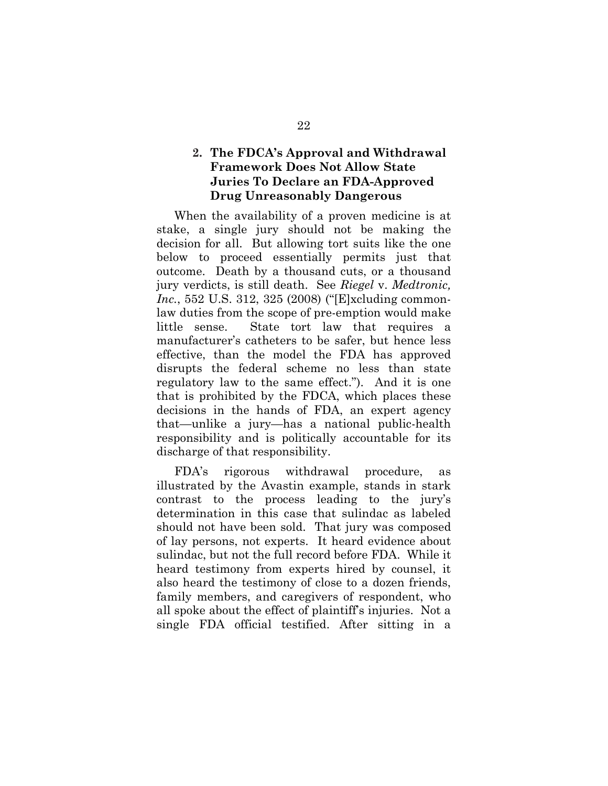### **2. The FDCA's Approval and Withdrawal Framework Does Not Allow State Juries To Declare an FDA-Approved Drug Unreasonably Dangerous**

When the availability of a proven medicine is at stake, a single jury should not be making the decision for all. But allowing tort suits like the one below to proceed essentially permits just that outcome. Death by a thousand cuts, or a thousand jury verdicts, is still death. See *Riegel* v. *Medtronic, Inc.*, 552 U.S. 312, 325 (2008) ("[E]xcluding commonlaw duties from the scope of pre-emption would make little sense. State tort law that requires a manufacturer's catheters to be safer, but hence less effective, than the model the FDA has approved disrupts the federal scheme no less than state regulatory law to the same effect."). And it is one that is prohibited by the FDCA, which places these decisions in the hands of FDA, an expert agency that—unlike a jury—has a national public-health responsibility and is politically accountable for its discharge of that responsibility.

FDA's rigorous withdrawal procedure, as illustrated by the Avastin example, stands in stark contrast to the process leading to the jury's determination in this case that sulindac as labeled should not have been sold. That jury was composed of lay persons, not experts. It heard evidence about sulindac, but not the full record before FDA. While it heard testimony from experts hired by counsel, it also heard the testimony of close to a dozen friends, family members, and caregivers of respondent, who all spoke about the effect of plaintiff's injuries. Not a single FDA official testified. After sitting in a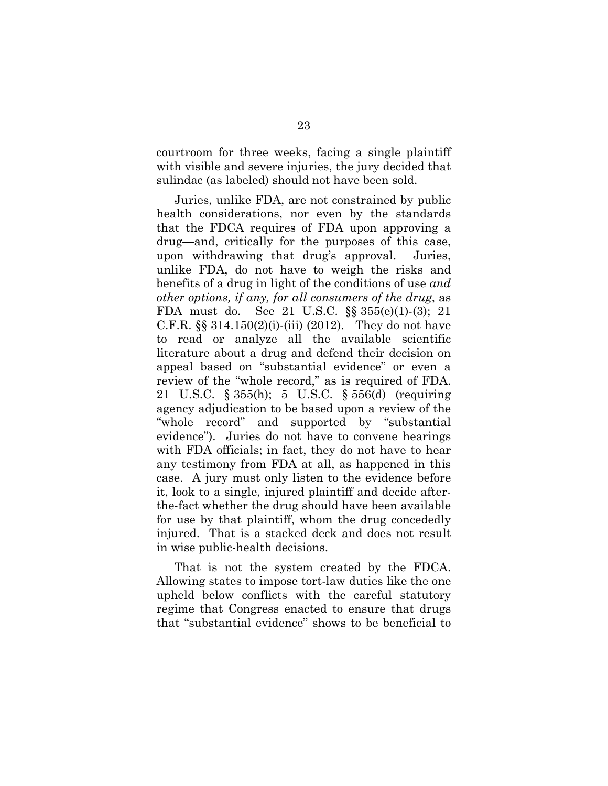courtroom for three weeks, facing a single plaintiff with visible and severe injuries, the jury decided that sulindac (as labeled) should not have been sold.

Juries, unlike FDA, are not constrained by public health considerations, nor even by the standards that the FDCA requires of FDA upon approving a drug—and, critically for the purposes of this case, upon withdrawing that drug's approval. Juries, unlike FDA, do not have to weigh the risks and benefits of a drug in light of the conditions of use *and other options, if any, for all consumers of the drug*, as FDA must do. See 21 U.S.C. §§ 355(e)(1)-(3); 21 C.F.R.  $\S$  314.150(2)(i)-(iii) (2012). They do not have to read or analyze all the available scientific literature about a drug and defend their decision on appeal based on "substantial evidence" or even a review of the "whole record," as is required of FDA. 21 U.S.C. § 355(h); 5 U.S.C. § 556(d) (requiring agency adjudication to be based upon a review of the "whole record" and supported by "substantial evidence"). Juries do not have to convene hearings with FDA officials; in fact, they do not have to hear any testimony from FDA at all, as happened in this case. A jury must only listen to the evidence before it, look to a single, injured plaintiff and decide afterthe-fact whether the drug should have been available for use by that plaintiff, whom the drug concededly injured. That is a stacked deck and does not result in wise public-health decisions.

That is not the system created by the FDCA. Allowing states to impose tort-law duties like the one upheld below conflicts with the careful statutory regime that Congress enacted to ensure that drugs that "substantial evidence" shows to be beneficial to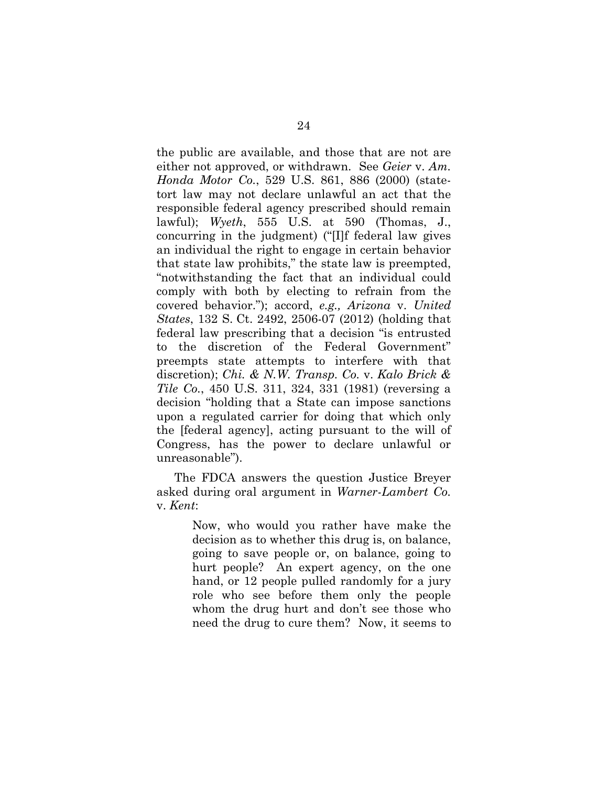the public are available, and those that are not are either not approved, or withdrawn. See *Geier* v. *Am. Honda Motor Co.*, 529 U.S. 861, 886 (2000) (statetort law may not declare unlawful an act that the responsible federal agency prescribed should remain lawful); *Wyeth*, 555 U.S. at 590 (Thomas, J., concurring in the judgment) ("[I]f federal law gives an individual the right to engage in certain behavior that state law prohibits," the state law is preempted, "notwithstanding the fact that an individual could comply with both by electing to refrain from the covered behavior."); accord, *e.g., Arizona* v. *United States*, 132 S. Ct. 2492, 2506-07 (2012) (holding that federal law prescribing that a decision "is entrusted to the discretion of the Federal Government" preempts state attempts to interfere with that discretion); *Chi. & N.W. Transp. Co.* v. *Kalo Brick & Tile Co.*, 450 U.S. 311, 324, 331 (1981) (reversing a decision "holding that a State can impose sanctions upon a regulated carrier for doing that which only the [federal agency], acting pursuant to the will of Congress, has the power to declare unlawful or unreasonable").

The FDCA answers the question Justice Breyer asked during oral argument in *Warner-Lambert Co.*  v. *Kent*:

> Now, who would you rather have make the decision as to whether this drug is, on balance, going to save people or, on balance, going to hurt people? An expert agency, on the one hand, or 12 people pulled randomly for a jury role who see before them only the people whom the drug hurt and don't see those who need the drug to cure them? Now, it seems to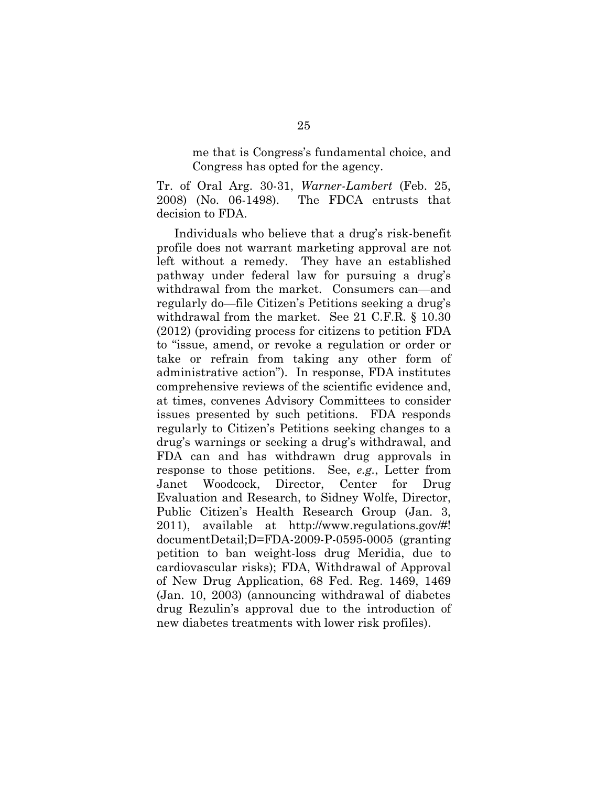me that is Congress's fundamental choice, and Congress has opted for the agency.

Tr. of Oral Arg. 30-31, *Warner-Lambert* (Feb. 25, 2008) (No. 06-1498). The FDCA entrusts that decision to FDA.

Individuals who believe that a drug's risk-benefit profile does not warrant marketing approval are not left without a remedy. They have an established pathway under federal law for pursuing a drug's withdrawal from the market. Consumers can—and regularly do—file Citizen's Petitions seeking a drug's withdrawal from the market. See 21 C.F.R. § 10.30 (2012) (providing process for citizens to petition FDA to "issue, amend, or revoke a regulation or order or take or refrain from taking any other form of administrative action"). In response, FDA institutes comprehensive reviews of the scientific evidence and, at times, convenes Advisory Committees to consider issues presented by such petitions. FDA responds regularly to Citizen's Petitions seeking changes to a drug's warnings or seeking a drug's withdrawal, and FDA can and has withdrawn drug approvals in response to those petitions. See, *e.g.*, Letter from Janet Woodcock, Director, Center for Drug Evaluation and Research, to Sidney Wolfe, Director, Public Citizen's Health Research Group (Jan. 3, 2011), available at http://www.regulations.gov/#! documentDetail;D=FDA-2009-P-0595-0005 (granting petition to ban weight-loss drug Meridia, due to cardiovascular risks); FDA, Withdrawal of Approval of New Drug Application, 68 Fed. Reg. 1469, 1469 (Jan. 10, 2003) (announcing withdrawal of diabetes drug Rezulin's approval due to the introduction of new diabetes treatments with lower risk profiles).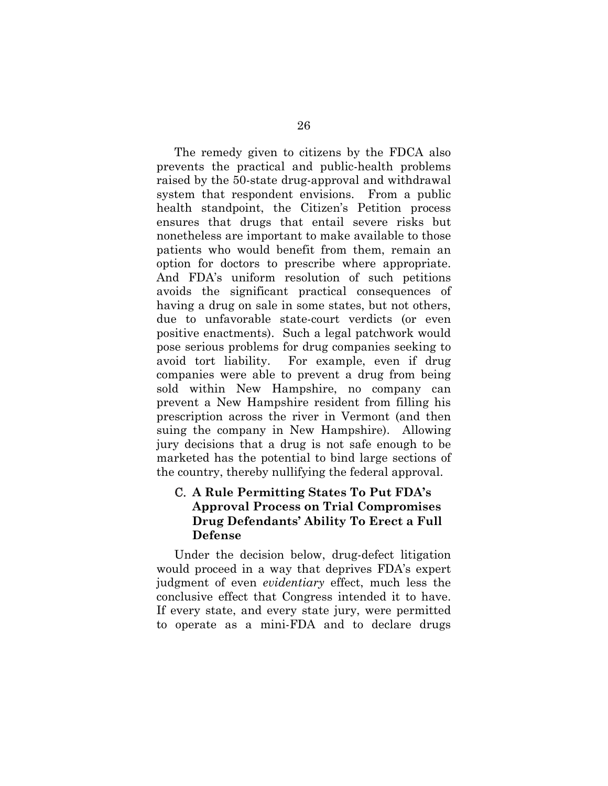The remedy given to citizens by the FDCA also prevents the practical and public-health problems raised by the 50-state drug-approval and withdrawal system that respondent envisions. From a public health standpoint, the Citizen's Petition process ensures that drugs that entail severe risks but nonetheless are important to make available to those patients who would benefit from them, remain an option for doctors to prescribe where appropriate. And FDA's uniform resolution of such petitions avoids the significant practical consequences of having a drug on sale in some states, but not others, due to unfavorable state-court verdicts (or even positive enactments). Such a legal patchwork would pose serious problems for drug companies seeking to avoid tort liability. For example, even if drug companies were able to prevent a drug from being sold within New Hampshire, no company can prevent a New Hampshire resident from filling his prescription across the river in Vermont (and then suing the company in New Hampshire). Allowing jury decisions that a drug is not safe enough to be marketed has the potential to bind large sections of the country, thereby nullifying the federal approval.

## C. **A Rule Permitting States To Put FDA's Approval Process on Trial Compromises Drug Defendants' Ability To Erect a Full Defense**

Under the decision below, drug-defect litigation would proceed in a way that deprives FDA's expert judgment of even *evidentiary* effect, much less the conclusive effect that Congress intended it to have. If every state, and every state jury, were permitted to operate as a mini-FDA and to declare drugs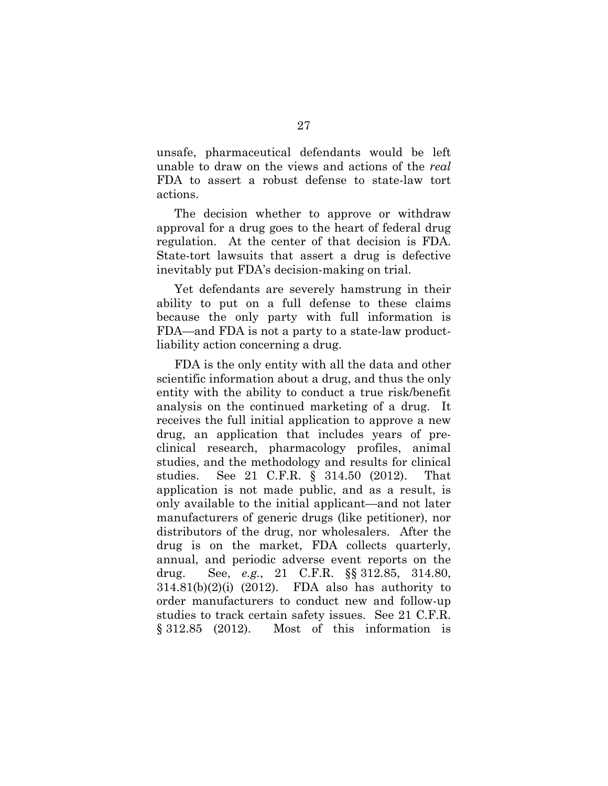unsafe, pharmaceutical defendants would be left unable to draw on the views and actions of the *real* FDA to assert a robust defense to state-law tort actions.

The decision whether to approve or withdraw approval for a drug goes to the heart of federal drug regulation. At the center of that decision is FDA. State-tort lawsuits that assert a drug is defective inevitably put FDA's decision-making on trial.

Yet defendants are severely hamstrung in their ability to put on a full defense to these claims because the only party with full information is FDA—and FDA is not a party to a state-law productliability action concerning a drug.

FDA is the only entity with all the data and other scientific information about a drug, and thus the only entity with the ability to conduct a true risk/benefit analysis on the continued marketing of a drug. It receives the full initial application to approve a new drug, an application that includes years of preclinical research, pharmacology profiles, animal studies, and the methodology and results for clinical studies. See 21 C.F.R. § 314.50 (2012). That application is not made public, and as a result, is only available to the initial applicant—and not later manufacturers of generic drugs (like petitioner), nor distributors of the drug, nor wholesalers. After the drug is on the market, FDA collects quarterly, annual, and periodic adverse event reports on the drug. See, *e.g.*, 21 C.F.R. §§ 312.85, 314.80,  $314.81(b)(2)(i)$  (2012). FDA also has authority to order manufacturers to conduct new and follow-up studies to track certain safety issues. See 21 C.F.R. § 312.85 (2012). Most of this information is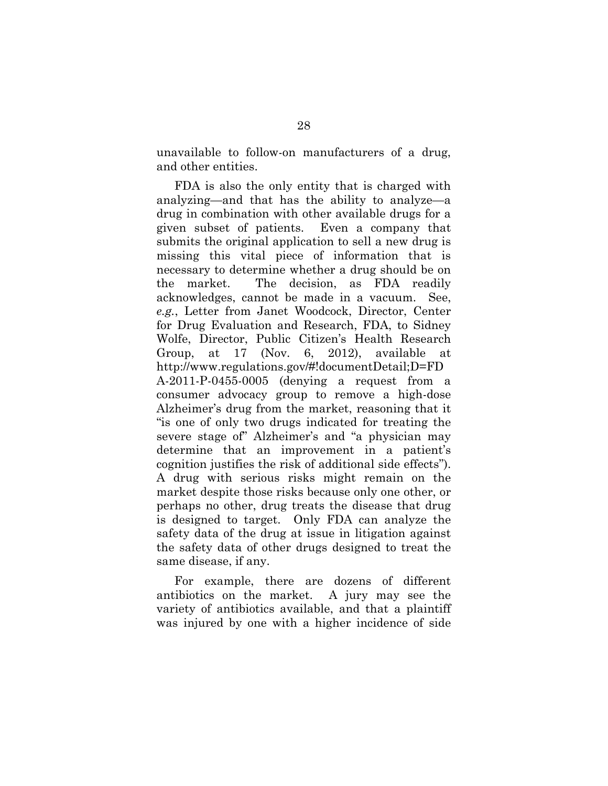unavailable to follow-on manufacturers of a drug, and other entities.

FDA is also the only entity that is charged with analyzing—and that has the ability to analyze—a drug in combination with other available drugs for a given subset of patients. Even a company that submits the original application to sell a new drug is missing this vital piece of information that is necessary to determine whether a drug should be on the market. The decision, as FDA readily acknowledges, cannot be made in a vacuum. See, *e.g.*, Letter from Janet Woodcock, Director, Center for Drug Evaluation and Research, FDA, to Sidney Wolfe, Director, Public Citizen's Health Research Group, at 17 (Nov. 6, 2012), available at http://www.regulations.gov/#!documentDetail;D=FD A-2011-P-0455-0005 (denying a request from a consumer advocacy group to remove a high-dose Alzheimer's drug from the market, reasoning that it "is one of only two drugs indicated for treating the severe stage of" Alzheimer's and "a physician may determine that an improvement in a patient's cognition justifies the risk of additional side effects"). A drug with serious risks might remain on the market despite those risks because only one other, or perhaps no other, drug treats the disease that drug is designed to target. Only FDA can analyze the safety data of the drug at issue in litigation against the safety data of other drugs designed to treat the same disease, if any.

For example, there are dozens of different antibiotics on the market. A jury may see the variety of antibiotics available, and that a plaintiff was injured by one with a higher incidence of side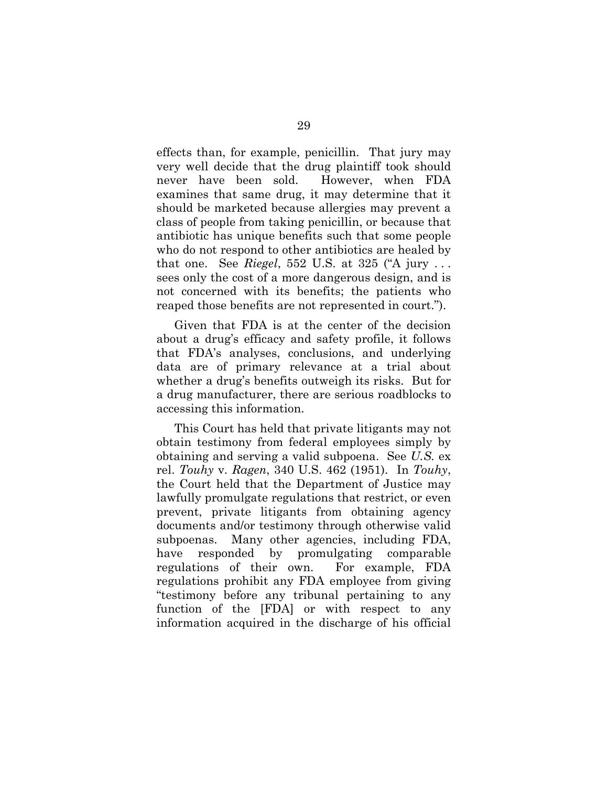effects than, for example, penicillin. That jury may very well decide that the drug plaintiff took should never have been sold. However, when FDA examines that same drug, it may determine that it should be marketed because allergies may prevent a class of people from taking penicillin, or because that antibiotic has unique benefits such that some people who do not respond to other antibiotics are healed by that one. See *Riegel*, 552 U.S. at 325 ("A jury . . . sees only the cost of a more dangerous design, and is not concerned with its benefits; the patients who reaped those benefits are not represented in court.").

Given that FDA is at the center of the decision about a drug's efficacy and safety profile, it follows that FDA's analyses, conclusions, and underlying data are of primary relevance at a trial about whether a drug's benefits outweigh its risks. But for a drug manufacturer, there are serious roadblocks to accessing this information.

This Court has held that private litigants may not obtain testimony from federal employees simply by obtaining and serving a valid subpoena. See *U.S.* ex rel. *Touhy* v. *Ragen*, 340 U.S. 462 (1951). In *Touhy*, the Court held that the Department of Justice may lawfully promulgate regulations that restrict, or even prevent, private litigants from obtaining agency documents and/or testimony through otherwise valid subpoenas. Many other agencies, including FDA, have responded by promulgating comparable regulations of their own. For example, FDA regulations prohibit any FDA employee from giving "testimony before any tribunal pertaining to any function of the [FDA] or with respect to any information acquired in the discharge of his official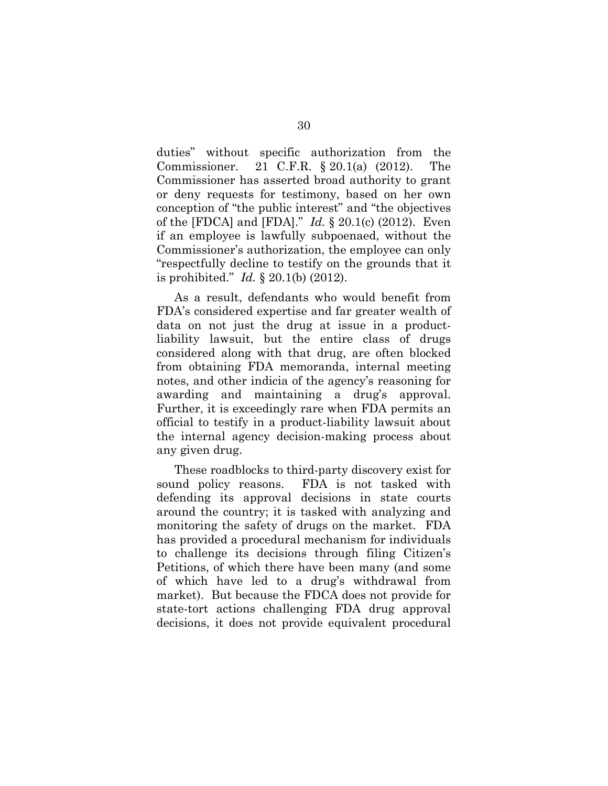duties" without specific authorization from the Commissioner. 21 C.F.R. § 20.1(a) (2012). The Commissioner has asserted broad authority to grant or deny requests for testimony, based on her own conception of "the public interest" and "the objectives of the [FDCA] and [FDA]." *Id.* § 20.1(c) (2012). Even if an employee is lawfully subpoenaed, without the Commissioner's authorization, the employee can only "respectfully decline to testify on the grounds that it is prohibited." *Id.* § 20.1(b) (2012).

As a result, defendants who would benefit from FDA's considered expertise and far greater wealth of data on not just the drug at issue in a productliability lawsuit, but the entire class of drugs considered along with that drug, are often blocked from obtaining FDA memoranda, internal meeting notes, and other indicia of the agency's reasoning for awarding and maintaining a drug's approval. Further, it is exceedingly rare when FDA permits an official to testify in a product-liability lawsuit about the internal agency decision-making process about any given drug.

These roadblocks to third-party discovery exist for sound policy reasons. FDA is not tasked with defending its approval decisions in state courts around the country; it is tasked with analyzing and monitoring the safety of drugs on the market. FDA has provided a procedural mechanism for individuals to challenge its decisions through filing Citizen's Petitions, of which there have been many (and some of which have led to a drug's withdrawal from market). But because the FDCA does not provide for state-tort actions challenging FDA drug approval decisions, it does not provide equivalent procedural